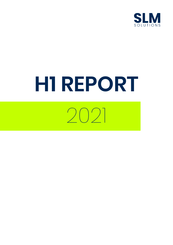

# **H1 REPORT**

2021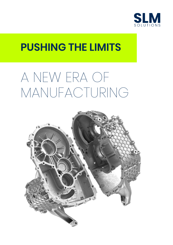

### **PUSHING THE LIMITS**

## A NEW ERA OF MANUFACTURING

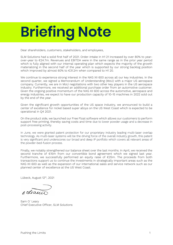# **Briefing Note**

Dear shareholders, customers, stakeholders, and employees,

SLM Solutions had a solid first half of 2021. Order-intake in H1 21 increased by over 80% to yearover-year to €24.7m. Revenues and EBITDA were in the same range as in the prior year period which is fully aligned with our internal operating plan which expects the majority of the growth materializing in the second half of the year which is supported by our strong backlog position which improved by almost 60% to €31.2m when compared to H1 20.

We continue to experience strong interest in the NXG XII 600 across all our key industries. In the second quarter, we signed a Memorandum of Understanding (MoU) with a major US aerospace company. Currently, we are in MoU negotiations with two other key players in the US aerospace industry. Furthermore, we received an additional purchase order from an automotive customer. Given the ongoing positive momentum of the NXG XII 600 across the automotive, aerospace and energy industries, we expect to have our production capacity of 10-15 machines in 2022 sold out by the end of the year.

Given the significant growth opportunities of the US space industry, we announced to build a center of excellence for nickel based super alloys on the US West Coast which is expected to be operational in Q4 2021.

On the product side, we launched our Free Float software which allows our customers to perform support free printing, thereby saving costs and time due to lower powder usage and a decrease in post-processing activity.

In June, we were granted patent protection for our proprietary industry leading multi-laser overlap technology. As multi-laser systems will be the driving force of the overall industry growth, this patent is very significant and underscores our broad and deep IP portfolio which covers all relevant areas of the powder-bed-fusion process.

Finally, we notably strengthened our balance sheet over the last months. In April, we received the second tranche of €15m from our convertible bond agreement which we signed last year. Furthermore, we successfully performed an equity raise of €25m. The proceeds from both transactions support us to continue the investments in strategically important areas such as the NXG XII 600 as well as the expansion of our international sales and service network such as our planned center of excellence at the US West Coast.

Lübeck, August 12<sup>th</sup>, 2021

8 Leani

Sam O´Leary Chief Executive Officer, SLM Solutions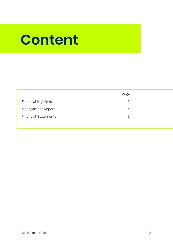### **Content**

| Page |  |
|------|--|
| 3    |  |
| 4    |  |
| 6    |  |
|      |  |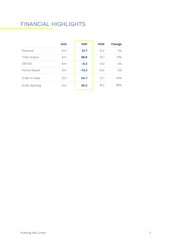#### FINANCIAL HIGHLIGHTS

|               | <b>Unit</b>  | 1H <sub>21</sub> | 1H <sub>20</sub> | Change |
|---------------|--------------|------------------|------------------|--------|
| Revenue       | €m           | 31.7             | 31.2             | 2%     |
| Total Output  | $\epsilon$ m | 38.9             | 32.1             | 21%    |
| <b>EBITDA</b> | €m           | $-6.2$           | $-6.0$           | $-3%$  |
| Period Result | €m           | $-12.3$          | $-12.5$          | 2%     |
| Order In-take | €m           | 24.7             | 13.7             | 81%    |
| Order Backlog | €m           | 30.2             | 19.2             | 58%    |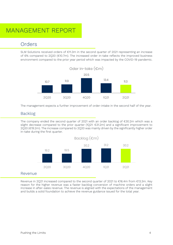#### MANAGEMENT REPORT

#### Orders

SLM Solutions received orders of €11.3m in the second quarter of 2021 representing an increase of 6% compared to 2Q20 (€10.7m). The increased order in-take reflects the improved business environment compared to the prior year period which was impacted by the COVID-19 pandemic.



The management expects a further improvement of order-intake in the second half of the year.

#### Backlog

The company ended the second quarter of 2021 with an order backlog of  $\epsilon$ 30.2m which was a slight decrease compared to the prior quarter (1Q21: €31.2m) and a significant improvement to 2Q20 (€19.2m). The increase compared to 2Q20 was mainly driven by the significantly higher order in-take during the first quarter.



#### Revenue

Revenue in 2Q21 increased compared to the second quarter of 2021 to €16.4m from €13.3m. Key reason for the higher revenue was a faster backlog conversion of machine orders and a slight increase in after-sales revenue. The revenue is aligned with the expectations of the management and builds a solid foundation to achieve the revenue guidance issued for the total year.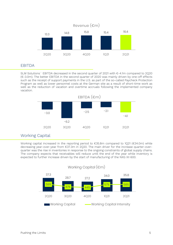

#### EBITDA

SLM Solutions´ EBITDA decreased in the second quarter of 2021 with €-4.1m compared to 2Q20 (€-3.0m). The better EBITDA in the second quarter of 2020 was mainly driven by one-off effects such as the receipt of support payments in the U.S. as part of the so-called Paycheck Protection Program as well as lower personnel costs at the German site as a result of short-time work as well as the reduction of vacation and overtime accruals following the implemented company vacation.



#### Working Capital

Working capital increased in the reporting period to €35.8m compared to 1Q21 (€34.0m) while decreasing year-over-year from €37.3m in 2Q20. The main driver for the increase quarter-overquarter was the rise in inventories in response to the ongoing constraints of global supply chains. The company expects that receivables will reduce until the end of the year while inventory is expected to further increase driven by the start of manufacturing of the NXG XII 600.

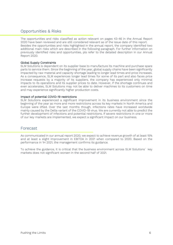#### Opportunities & Risks

The opportunities and risks classified as action relevant on pages 43-46 in the Annual Report 2020 have been reviewed and are still considered relevant as of the issue date of this report. Besides the opportunities and risks highlighted in the annual report, the company identified two additional main risks which are described in the following paragraph. For further information on previously identified risks and opportunities, pls refer to the detailed description in our Annual Report 2020.

#### Global Supply Constraints

SLM Solutions is dependent on its supplier base to manufacture its machine and purchase spare parts to service them. Since the beginning of the year, global supply chains have been significantly impacted by raw material and capacity shortage leading to longer lead times and price increases. As a consequence, SLM experiences longer lead times for some of its part and also faces price increase requests by a majority of its suppliers, the company has experienced only minimal impacts to its operations and its supplier prices to date. However, if the shortage continues and even accelerates, SLM Solutions may not be able to deliver machines to its customers on time and may experience significantly higher production costs.

#### Impact of potential COVID-19 restrictions

SLM Solutions experienced a significant improvement in its business environment since the beginning of the year as more and more restrictions across its key markets in North America and Europe were lifted. Over the last months though, infections rates have increased worldwide mainly caused by the Delta variant of the COVID-19 virus. We are currently not able to predict the further development of infections and potential restrictions. If severe restrictions in one or more of our key markets are implemented, we expect a significant impact on our business.

#### Forecast

As communicated in our annual report 2020, we expect to achieve revenue growth of at least 15% and at least a slight improvement in EBITDA in 2021 when compared to 2020. Based on the performance in 1H 2021, the management confirms its guidance.

To achieve the guidance, it is critical that the business environment across SLM Solutions´ key markets does not significant worsen in the second half of 2021.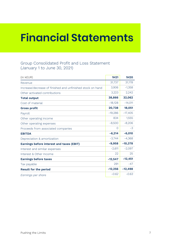### **Financial Statements**

#### Group Consolidated Profit and Loss Statement (January 1 to June 30, 2021)

| (in kEUR)                                                  | 1H21      | <b>1H20</b> |
|------------------------------------------------------------|-----------|-------------|
| Revenue                                                    | 31,737    | 31,178      |
| Increase/decrease of finished and unfinished stock on hand | 3,906     | $-1,358$    |
| Other activated contributions                              | 3,223     | 2,242       |
| <b>Total output</b>                                        | 38,866    | 32,062      |
| Cost of material                                           | $-18,128$ | $-14,011$   |
| <b>Gross profit</b>                                        | 20,738    | 18,051      |
| Payroll                                                    | $-19,286$ | $-17,405$   |
| Other operating income                                     | 834       | 1,555       |
| Other operating expenses                                   | $-8,500$  | $-8,206$    |
| Proceeds from associated companies                         | $\Omega$  | $-3$        |
| <b>EBITDA</b>                                              | $-6,214$  | $-6,010$    |
| Depreciation & amortization                                | $-3,744$  | $-4,368$    |
| <b>Earnings before interest and taxes (EBIT)</b>           | $-9,958$  | $-10,378$   |
| Interest and similar expenses                              | $-2,611$  | $-2,097$    |
| Interest & Other Income                                    | 22        | 25          |
| <b>Earnings before taxes</b>                               | $-12,547$ | $-12,451$   |
| Tax payable                                                | 291       | $-47$       |
| <b>Result for the period</b>                               | $-12,256$ | $-12,498$   |
| Earnings per share                                         | $-0.62$   | $-0.63$     |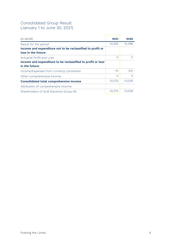#### Consolidated Group Result (January 1 to June 30, 2021)

| $(in$ kEUR)                                                 | 1H <sub>21</sub> | 1H <sub>20</sub> |
|-------------------------------------------------------------|------------------|------------------|
| Result for the period                                       | $-12,256$        | $-12,498$        |
| Income and expenditure not to be reclassified to profit or  |                  |                  |
| loss in the future:                                         |                  |                  |
| Actuarial Profit and Loss                                   | ∩                |                  |
| Income and expenditure to be reclassified to profit or loss |                  |                  |
| in the future:                                              |                  |                  |
| Income/Expenses from currency conversion                    | $-14$            | $-531$           |
| Other comprehensive income                                  | $\bigcap$        | ∩                |
| <b>Consolidated total comprehensive income</b>              | $-12,270$        | $-13,029$        |
| Attribution of comprehensive income:                        |                  |                  |
| Shareholders of SLM Solutions Group AG                      | $-12.270$        | $-13.029$        |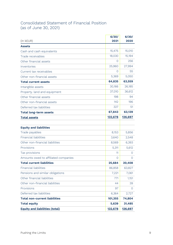#### Consolidated Statement of Financial Position (as of June 30, 2021)

| (in kEUR)                             | 6/30/<br>2021  | 6/30/<br>2020 |
|---------------------------------------|----------------|---------------|
| <b>Assets</b>                         |                |               |
| Cash and cash equivalents             | 15,475         | 15,010        |
| Trade receivables                     | 18,030         | 15,194        |
| Other financial assets                | $\Omega$       | 256           |
| Inventories                           | 25,960         | 27,994        |
| Current tax receivables               | $\overline{0}$ | 55            |
| Other non-financial assets            | 5,369          | 5,050         |
| <b>Total current assets</b>           | 64,835         | 63,559        |
| Intangible assets                     | 30,166         | 26,185        |
| Property. land and equipment          | 37,010         | 36,612        |
| Other financial assets                | 198            | 94            |
| Other non-financial assets            | 142            | 196           |
| Deferred tax liabilities              | 327            | 51            |
| <b>Total long-term assets</b>         | 67,843         | 63,139        |
| <b>Total assets</b>                   | 132,678        | 126,697       |
| <b>Equity and liabilities</b>         |                |               |
| Trade payables                        | 8,153          | 5,856         |
| <b>Financial liabilities</b>          | 3,640          | 2,548         |
| Other non-financial liabilities       | 8,569          | 6,393         |
| Provisions                            | 5,311          | 5,612         |
| Tax provisions                        | 11             | 0             |
| Amounts owed to affiliated companies  | $\overline{0}$ | O             |
| <b>Total current liabilities</b>      | 25,684         | 20,408        |
| <b>Financial liabilities</b>          | 86,858         | 63,827        |
| Pensions and similar obligations      | 7,221          | 7,061         |
| Other financial liabilities           | 771            | 1,151         |
| Other non-financial liabilities       | 44             | 39            |
| Provisions                            | 97             | $\Omega$      |
| Deferred tax liabilities              | 6,364          | 2,727         |
| <b>Total non-current liabilities</b>  | 101,355        | 74,804        |
| <b>Total equity</b>                   | 5,639          | 31,485        |
| <b>Equity and liabilities (total)</b> | 132,678        | 126,697       |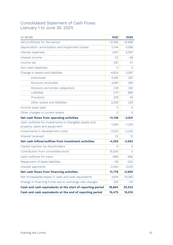#### Consolidated Statement of Cash Flows (January 1 to June 30, 2021)

| (in kEUR)                                                  | 1H21           | 1H20       |
|------------------------------------------------------------|----------------|------------|
| Net profit/loss for the period                             | $-12,256$      | $-12,498$  |
| Depreciation. amortization and impairment losses           | 3,744          | 4,368      |
| Interest expenses                                          | 2,611          | 2,097      |
| Interest income                                            | $-22$          | $-26$      |
| Income tax                                                 | $-291$         | 47         |
| Non-cash expenses                                          | O              | 3          |
| Change in assets and liabilities                           | $-4,924$       | 2,087      |
| <i><u><b>Inventories</b></u></i>                           | $-5,190$       | 287        |
| Accounts receivable                                        | $-4,581$       | 294        |
| Pensions and similar obligations                           | 239            | 342        |
| Liabilities                                                | 1,171          | 890        |
| Provisions                                                 | 229            | 45         |
| Other assets and liabilities                               | 3,208          | 229        |
| Income taxes paid                                          | $\overline{O}$ | O          |
| Other changes in current assets                            | O              | $\bigcirc$ |
| Net cash flows from operating activities                   | $-11,138$      | $-3,921$   |
| Cash outflows for investments in intangible assets and     | $-1,054$       | $-1,333$   |
| property. plant and equipment                              |                |            |
| Investments in development costs                           | $-3,223$       | $-2,242$   |
| Interest received                                          | 22             | 12         |
| Net cash inflow/outflow from investment activities         | $-4,255$       | $-3,562$   |
| Capital injection by shareholders                          | $\Omega$       | $\Omega$   |
| Contribution from convertible bond                         | 15,000         | $\Omega$   |
| Cash outflows for loans                                    | $-666$         | $-666$     |
| Repayment of lease liabilities                             | $-116$         | $-220$     |
| Interest payments                                          | $-2,440$       | $-2,013$   |
| Net cash flows from financing activities                   | 11,778         | $-2,900$   |
| Net increase(decrease) in cash and cash equivalents        | $-3,614$       | $-10,383$  |
| Change in financing funds due to exchange rate changes     | 225            | $-131$     |
| Cash and cash equivalents at the start of reporting period | 18,864         | 25,523     |
| Cash and cash equivalents at the end of reporting period   | 15,475         | 15,010     |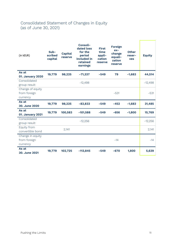#### Consolidated Statement of Changes in Equity (as of June 30, 2021)

| (in kEUR)                        | Sub-<br>scribed<br>capital | <b>Capital</b><br>reserve | Consoli-<br>dated loss<br>for the<br>period<br>included in<br>retained<br>earnings | <b>First</b><br>time<br>appli-<br>cation<br>reserve | <b>Foreign</b><br>$ex-$<br>change<br>equali-<br>zation<br>reserve | <b>Other</b><br>reser-<br><b>ves</b> | <b>Equity</b> |
|----------------------------------|----------------------------|---------------------------|------------------------------------------------------------------------------------|-----------------------------------------------------|-------------------------------------------------------------------|--------------------------------------|---------------|
| As at                            | 19,779                     | 98,225                    | $-71,337$                                                                          | $-549$                                              | 79                                                                | $-1,683$                             | 44,514        |
| <b>01. January 2020</b>          |                            |                           |                                                                                    |                                                     |                                                                   |                                      |               |
| Consolidated                     |                            |                           | $-12,498$                                                                          |                                                     |                                                                   |                                      | $-12,498$     |
| group result<br>Change of equity |                            |                           |                                                                                    |                                                     |                                                                   |                                      |               |
| from foreign                     |                            |                           |                                                                                    |                                                     | $-531$                                                            |                                      | $-531$        |
| currency                         |                            |                           |                                                                                    |                                                     |                                                                   |                                      |               |
| As at                            |                            |                           |                                                                                    |                                                     |                                                                   |                                      |               |
|                                  |                            |                           |                                                                                    |                                                     |                                                                   |                                      |               |
| 30. June 2020                    | 19,779                     | 98,225                    | $-83,833$                                                                          | $-549$                                              | $-452$                                                            | $-1,683$                             | 31,485        |
| As at                            |                            |                           |                                                                                    |                                                     |                                                                   |                                      |               |
| 01. January 2021                 | 19,779                     | 100,583                   | $-101,588$                                                                         | $-549$                                              | $-656$                                                            | $-1,800$                             | 15,769        |
| Consolidated                     |                            |                           |                                                                                    |                                                     |                                                                   |                                      |               |
| group result                     |                            |                           | $-12,256$                                                                          |                                                     |                                                                   |                                      | $-12,256$     |
| Equity from                      |                            |                           |                                                                                    |                                                     |                                                                   |                                      |               |
| convertible bond                 |                            | 2,141                     |                                                                                    |                                                     |                                                                   |                                      | 2,141         |
| Change in equity                 |                            |                           |                                                                                    |                                                     |                                                                   |                                      |               |
| from foreign                     |                            |                           |                                                                                    |                                                     | $-14$                                                             |                                      | $-14$         |
| currency                         |                            |                           |                                                                                    |                                                     |                                                                   |                                      |               |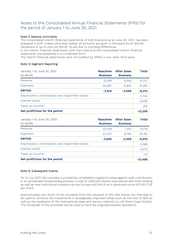#### Notes to the Consolidated Annual Financial Statements (IFRS) for the period of January 1 to June 30, 2021

#### Note 1) General comments

The consolidated interim financial statements of SLM Solutions as at June 30, 2021, has been prepared in EUR. Unless otherwise stated, all amounts are given in thousand euros (kEUR). Deviations of up to one unit (kEUR, %) are due to rounding differences.

In the interim financial statements, both the notes and the consolidated interim financial statements are presented in a condensed form.

The interim financial statements were not audited by KPMG or any other third party.

#### Note 2) Segment Reporting

| January 1 to June 30, 2021<br>(in kEUR)          | <b>Maschine</b><br><b>Business</b> | <b>After Sales</b><br><b>Business</b> | Total     |
|--------------------------------------------------|------------------------------------|---------------------------------------|-----------|
| Revenue                                          | 23,381                             | 8,356                                 | 31,737    |
| <b>Expenses</b>                                  | 25,997                             | 11,954                                | 37,951    |
| <b>EBITDA</b>                                    | $-2,616$                           | $-3,598$                              | $-6,214$  |
| Depreciation, amortisation and impairment losses |                                    |                                       | $-3,744$  |
| Interest result                                  |                                    |                                       | $-2,589$  |
| Taxes on income                                  |                                    |                                       | 291       |
| Net profit/loss for the period                   |                                    |                                       | $-12,256$ |

| January 1 to June 30, 2020<br>(in kEUR)          | <b>Maschine</b><br><b>Business</b> | <b>After Sales</b><br><b>Business</b> | <b>Total</b> |
|--------------------------------------------------|------------------------------------|---------------------------------------|--------------|
| Revenue                                          | 23,758                             | 7,421                                 | 31,178       |
| <b>Expenses</b>                                  | 27,407                             | 9,780                                 | 37,187       |
| <b>EBITDA</b>                                    | $-3,650$                           | $-2,359$                              | $-6,010$     |
| Depreciation, amortisation and impairment losses |                                    |                                       | $-4,368$     |
| Interest result                                  |                                    |                                       | $-2,073$     |
| Taxes on income                                  |                                    |                                       | $-47$        |
| Net profit/loss for the period                   |                                    |                                       | $-12,498$    |

#### Note 3) Subsequent Events

On 13 July 2021, the company successfully completed a capital increase against cash contribution. In an accelerated bookbuilding process, a total of 1,450,000 shares were placed with both existing as well as new institutional investors across Europe and the US at a placement price of EUR 17.25 per share.

Approximately two thirds of the proceeds from the issuance of the new shares are intended to be used to continue the investments in strategically important areas such as the NXG XII 600 as well as the expansion of the international sales and service network (i.e. US West Coast facility). The remainder of the proceeds will be used to fund the ongoing business operations.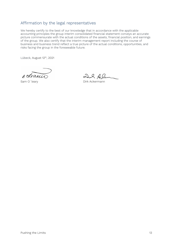#### Affirmation by the legal representatives

We hereby certify to the best of our knowledge that in accordance with the applicable accounting principles the group interim consolidated financial statement conveys an accurate picture commensurate with the actual conditions of the assets, financial position, and earnings of the group. We also certify that the interim management report including the course of business and business trend reflect a true picture of the actual conditions, opportunities, and risks facing the group in the foreseeable future.

Lübeck, August 12<sup>th</sup>, 2021

8 Leanier

Dul Alen

Sam O'leary **Dirk Ackermann**